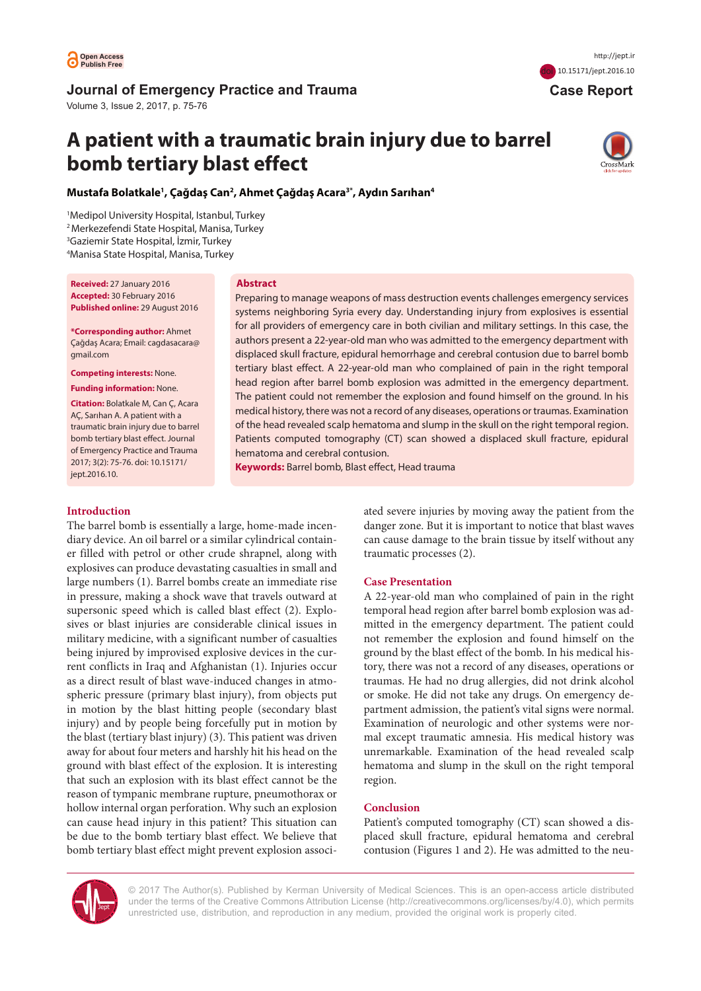

# **Journal of Emergency Practice and Trauma**

Volume 3, Issue 2, 2017, p. 75-76

# **A patient with a traumatic brain injury due to barrel bomb tertiary blast effect**

hematoma and cerebral contusion.

**Keywords:** Barrel bomb, Blast effect, Head trauma



 **Case Report**

doi [10.15171/jept.2016.](http://dx.doi.org/10.15171/jept.2016.10)10

**Mustafa Bolatkale1 , Çağdaş Can2 , Ahmet Çağdaş Acara3\* , Aydın Sarıhan4**

**Abstract**

 Medipol University Hospital, Istanbul, Turkey 2 Merkezefendi State Hospital, Manisa, Turkey Gaziemir State Hospital, İzmir, Turkey Manisa State Hospital, Manisa, Turkey

**Received:** 27 January 2016 **Accepted:** 30 February 2016 **Published online:** 29 August 2016

**\*Corresponding author:** Ahmet Çağdaş Acara; Email: cagdasacara@ gmail.com

**Competing interests:** None.

**Funding information:** None.

**Citation:** Bolatkale M, Can Ç, Acara AÇ, Sarıhan A. A patient with a traumatic brain injury due to barrel bomb tertiary blast effect. Journal of Emergency Practice and Trauma 2017; 3(2): 75-76. doi: 10.15171/ jept.2016.10.

## **Introduction**

The barrel bomb is essentially a large, home-made incendiary device. An oil barrel or a similar cylindrical container filled with petrol or other crude shrapnel, along with explosives can produce devastating casualties in small and large numbers (1). Barrel bombs create an immediate rise in pressure, making a shock wave that travels outward at supersonic speed which is called blast effect (2). Explosives or blast injuries are considerable clinical issues in military medicine, with a significant number of casualties being injured by improvised explosive devices in the current conflicts in Iraq and Afghanistan (1). Injuries occur as a direct result of blast wave-induced changes in atmospheric pressure (primary blast injury), from objects put in motion by the blast hitting people (secondary blast injury) and by people being forcefully put in motion by the blast (tertiary blast injury) (3). This patient was driven away for about four meters and harshly hit his head on the ground with blast effect of the explosion. It is interesting that such an explosion with its blast effect cannot be the reason of tympanic membrane rupture, pneumothorax or hollow internal organ perforation. Why such an explosion can cause head injury in this patient? This situation can be due to the bomb tertiary blast effect. We believe that bomb tertiary blast effect might prevent explosion associated severe injuries by moving away the patient from the danger zone. But it is important to notice that blast waves can cause damage to the brain tissue by itself without any traumatic processes (2).

## **Case Presentation**

Preparing to manage weapons of mass destruction events challenges emergency services systems neighboring Syria every day. Understanding injury from explosives is essential for all providers of emergency care in both civilian and military settings. In this case, the authors present a 22-year-old man who was admitted to the emergency department with displaced skull fracture, epidural hemorrhage and cerebral contusion due to barrel bomb tertiary blast effect. A 22-year-old man who complained of pain in the right temporal head region after barrel bomb explosion was admitted in the emergency department. The patient could not remember the explosion and found himself on the ground. In his medical history, there was not a record of any diseases, operations or traumas. Examination of the head revealed scalp hematoma and slump in the skull on the right temporal region. Patients computed tomography (CT) scan showed a displaced skull fracture, epidural

> A 22-year-old man who complained of pain in the right temporal head region after barrel bomb explosion was admitted in the emergency department. The patient could not remember the explosion and found himself on the ground by the blast effect of the bomb. In his medical history, there was not a record of any diseases, operations or traumas. He had no drug allergies, did not drink alcohol or smoke. He did not take any drugs. On emergency department admission, the patient's vital signs were normal. Examination of neurologic and other systems were normal except traumatic amnesia. His medical history was unremarkable. Examination of the head revealed scalp hematoma and slump in the skull on the right temporal region.

## **Conclusion**

Patient's computed tomography (CT) scan showed a displaced skull fracture, epidural hematoma and cerebral contusion (Figures 1 and 2). He was admitted to the neu-



© 2017 The Author(s). Published by Kerman University of Medical Sciences. This is an open-access article distributed under the terms of the Creative Commons Attribution License ([http://creativecommons.org/licenses/by/4.0\)](http://creativecommons.org/licenses/by/4.0), which permits unrestricted use, distribution, and reproduction in any medium, provided the original work is properly cited.